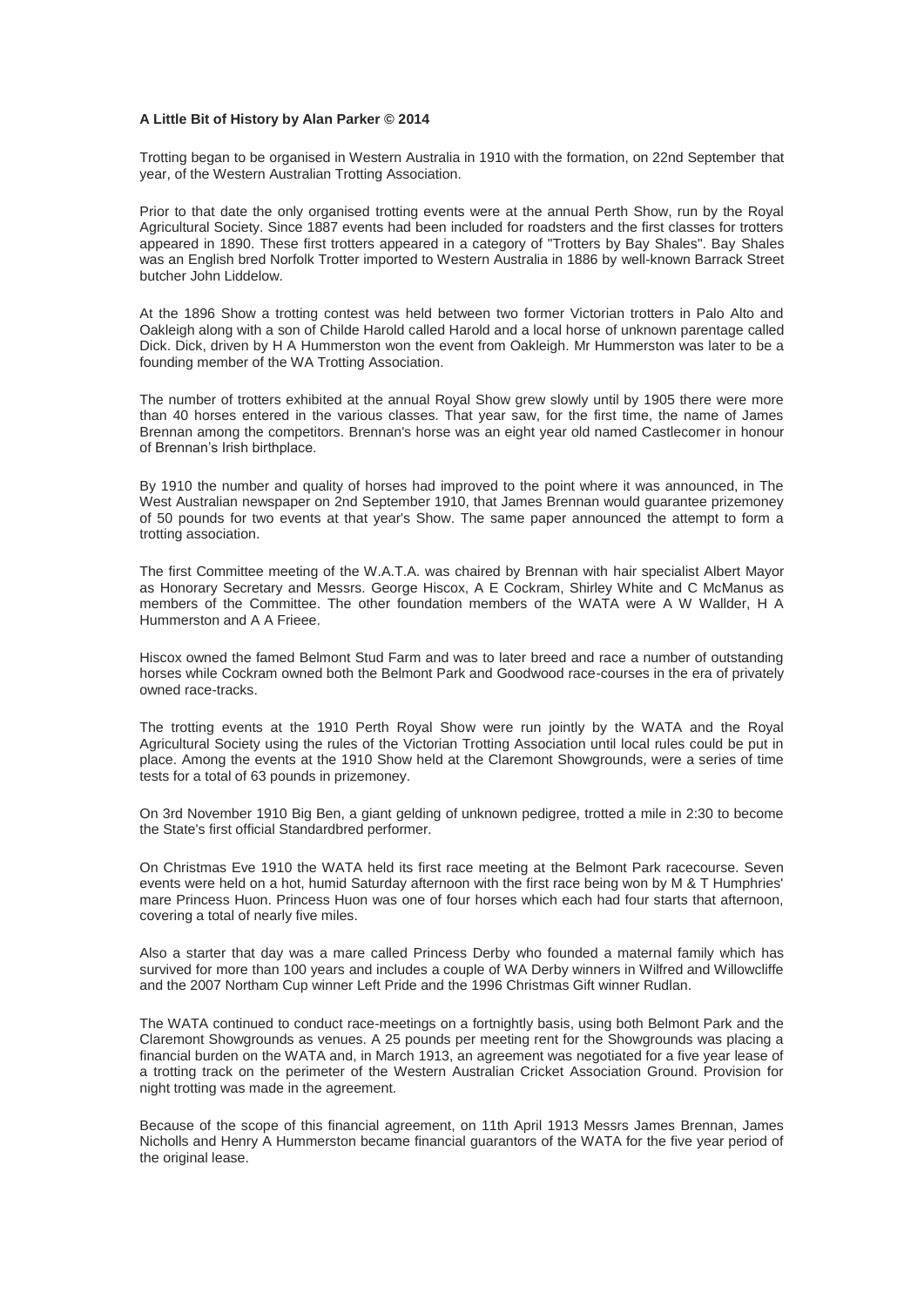## **A Little Bit of History by Alan Parker © 2014**

Trotting began to be organised in Western Australia in 1910 with the formation, on 22nd September that year, of the Western Australian Trotting Association.

Prior to that date the only organised trotting events were at the annual Perth Show, run by the Royal Agricultural Society. Since 1887 events had been included for roadsters and the first classes for trotters appeared in 1890. These first trotters appeared in a category of "Trotters by Bay Shales". Bay Shales was an English bred Norfolk Trotter imported to Western Australia in 1886 by well-known Barrack Street butcher John Liddelow.

At the 1896 Show a trotting contest was held between two former Victorian trotters in Palo Alto and Oakleigh along with a son of Childe Harold called Harold and a local horse of unknown parentage called Dick. Dick, driven by H A Hummerston won the event from Oakleigh. Mr Hummerston was later to be a founding member of the WA Trotting Association.

The number of trotters exhibited at the annual Royal Show grew slowly until by 1905 there were more than 40 horses entered in the various classes. That year saw, for the first time, the name of James Brennan among the competitors. Brennan's horse was an eight year old named Castlecomer in honour of Brennan's Irish birthplace.

By 1910 the number and quality of horses had improved to the point where it was announced, in The West Australian newspaper on 2nd September 1910, that James Brennan would guarantee prizemoney of 50 pounds for two events at that year's Show. The same paper announced the attempt to form a trotting association.

The first Committee meeting of the W.A.T.A. was chaired by Brennan with hair specialist Albert Mayor as Honorary Secretary and Messrs. George Hiscox, A E Cockram, Shirley White and C McManus as members of the Committee. The other foundation members of the WATA were A W Wallder, H A Hummerston and A A Frieee.

Hiscox owned the famed Belmont Stud Farm and was to later breed and race a number of outstanding horses while Cockram owned both the Belmont Park and Goodwood race-courses in the era of privately owned race-tracks.

The trotting events at the 1910 Perth Royal Show were run jointly by the WATA and the Royal Agricultural Society using the rules of the Victorian Trotting Association until local rules could be put in place. Among the events at the 1910 Show held at the Claremont Showgrounds, were a series of time tests for a total of 63 pounds in prizemoney.

On 3rd November 1910 Big Ben, a giant gelding of unknown pedigree, trotted a mile in 2:30 to become the State's first official Standardbred performer.

On Christmas Eve 1910 the WATA held its first race meeting at the Belmont Park racecourse. Seven events were held on a hot, humid Saturday afternoon with the first race being won by M & T Humphries' mare Princess Huon. Princess Huon was one of four horses which each had four starts that afternoon, covering a total of nearly five miles.

Also a starter that day was a mare called Princess Derby who founded a maternal family which has survived for more than 100 years and includes a couple of WA Derby winners in Wilfred and Willowcliffe and the 2007 Northam Cup winner Left Pride and the 1996 Christmas Gift winner Rudlan.

The WATA continued to conduct race-meetings on a fortnightly basis, using both Belmont Park and the Claremont Showgrounds as venues. A 25 pounds per meeting rent for the Showgrounds was placing a financial burden on the WATA and, in March 1913, an agreement was negotiated for a five year lease of a trotting track on the perimeter of the Western Australian Cricket Association Ground. Provision for night trotting was made in the agreement.

Because of the scope of this financial agreement, on 11th April 1913 Messrs James Brennan, James Nicholls and Henry A Hummerston became financial guarantors of the WATA for the five year period of the original lease.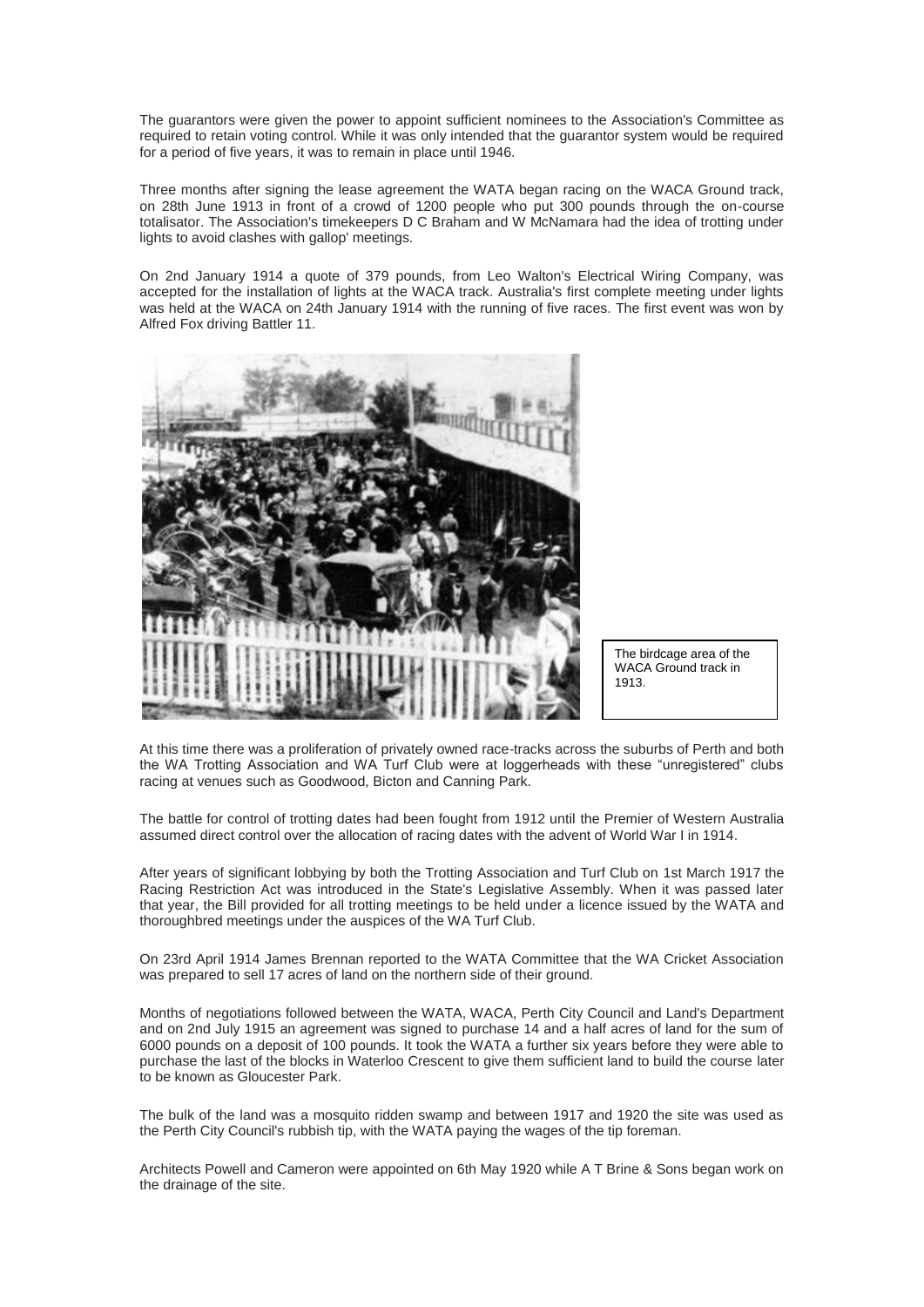The guarantors were given the power to appoint sufficient nominees to the Association's Committee as required to retain voting control. While it was only intended that the guarantor system would be required for a period of five years, it was to remain in place until 1946.

Three months after signing the lease agreement the WATA began racing on the WACA Ground track, on 28th June 1913 in front of a crowd of 1200 people who put 300 pounds through the on-course totalisator. The Association's timekeepers D C Braham and W McNamara had the idea of trotting under lights to avoid clashes with gallop' meetings.

On 2nd January 1914 a quote of 379 pounds, from Leo Walton's Electrical Wiring Company, was accepted for the installation of lights at the WACA track. Australia's first complete meeting under lights was held at the WACA on 24th January 1914 with the running of five races. The first event was won by Alfred Fox driving Battler 11.



The birdcage area of the WACA Ground track in 1913.

At this time there was a proliferation of privately owned race-tracks across the suburbs of Perth and both the WA Trotting Association and WA Turf Club were at loggerheads with these "unregistered" clubs racing at venues such as Goodwood, Bicton and Canning Park.

The battle for control of trotting dates had been fought from 1912 until the Premier of Western Australia assumed direct control over the allocation of racing dates with the advent of World War I in 1914.

After years of significant lobbying by both the Trotting Association and Turf Club on 1st March 1917 the Racing Restriction Act was introduced in the State's Legislative Assembly. When it was passed later that year, the Bill provided for all trotting meetings to be held under a licence issued by the WATA and thoroughbred meetings under the auspices of the WA Turf Club.

On 23rd April 1914 James Brennan reported to the WATA Committee that the WA Cricket Association was prepared to sell 17 acres of land on the northern side of their ground.

Months of negotiations followed between the WATA, WACA, Perth City Council and Land's Department and on 2nd July 1915 an agreement was signed to purchase 14 and a half acres of land for the sum of 6000 pounds on a deposit of 100 pounds. It took the WATA a further six years before they were able to purchase the last of the blocks in Waterloo Crescent to give them sufficient land to build the course later to be known as Gloucester Park.

The bulk of the land was a mosquito ridden swamp and between 1917 and 1920 the site was used as the Perth City Council's rubbish tip, with the WATA paying the wages of the tip foreman.

Architects Powell and Cameron were appointed on 6th May 1920 while A T Brine & Sons began work on the drainage of the site.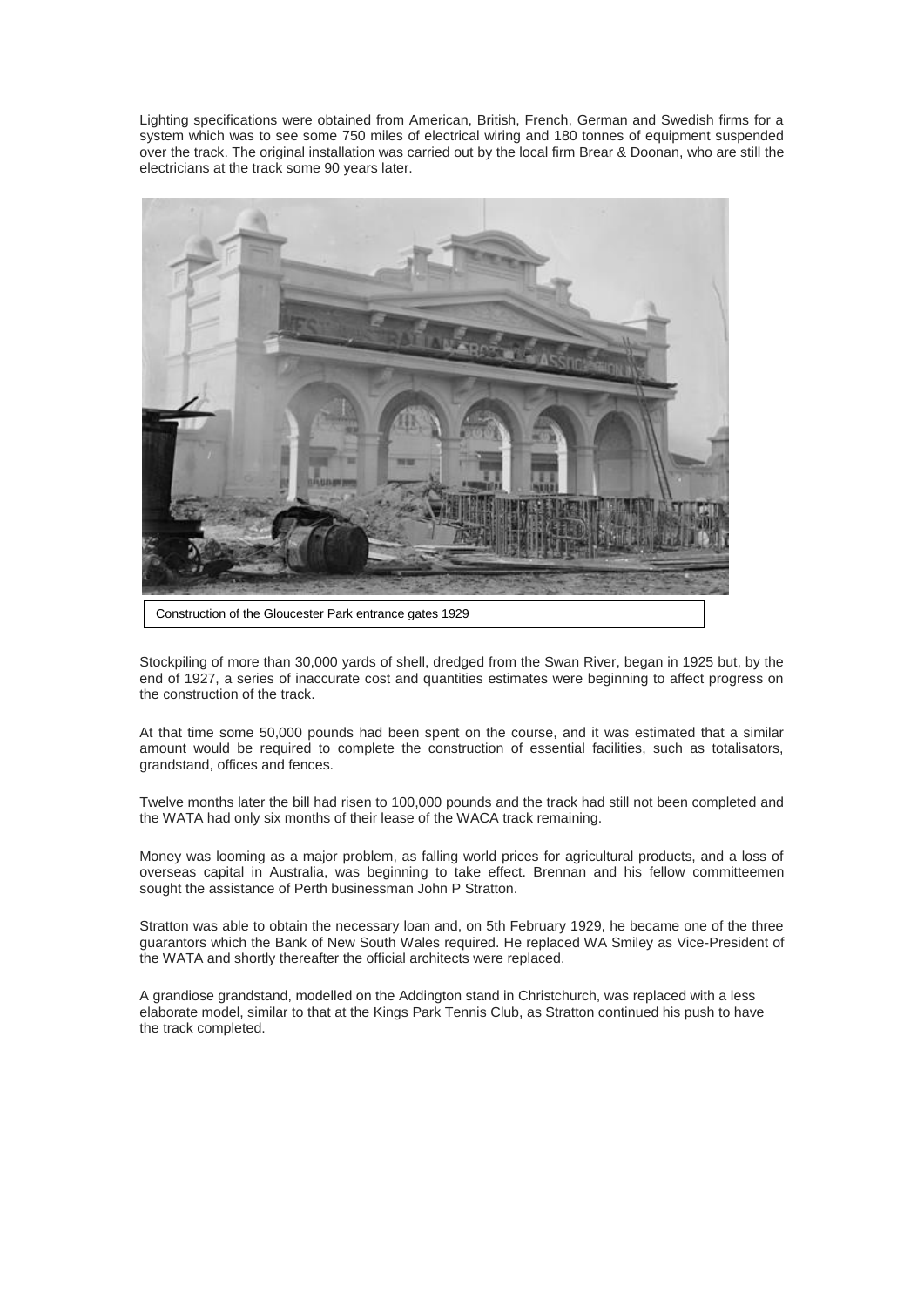Lighting specifications were obtained from American, British, French, German and Swedish firms for a system which was to see some 750 miles of electrical wiring and 180 tonnes of equipment suspended over the track. The original installation was carried out by the local firm Brear & Doonan, who are still the electricians at the track some 90 years later.



Stockpiling of more than 30,000 yards of shell, dredged from the Swan River, began in 1925 but, by the end of 1927, a series of inaccurate cost and quantities estimates were beginning to affect progress on the construction of the track.

At that time some 50,000 pounds had been spent on the course, and it was estimated that a similar amount would be required to complete the construction of essential facilities, such as totalisators, grandstand, offices and fences.

Twelve months later the bill had risen to 100,000 pounds and the track had still not been completed and the WATA had only six months of their lease of the WACA track remaining.

Money was looming as a major problem, as falling world prices for agricultural products, and a loss of overseas capital in Australia, was beginning to take effect. Brennan and his fellow committeemen sought the assistance of Perth businessman John P Stratton.

Stratton was able to obtain the necessary loan and, on 5th February 1929, he became one of the three guarantors which the Bank of New South Wales required. He replaced WA Smiley as Vice-President of the WATA and shortly thereafter the official architects were replaced.

A grandiose grandstand, modelled on the Addington stand in Christchurch, was replaced with a less elaborate model, similar to that at the Kings Park Tennis Club, as Stratton continued his push to have the track completed.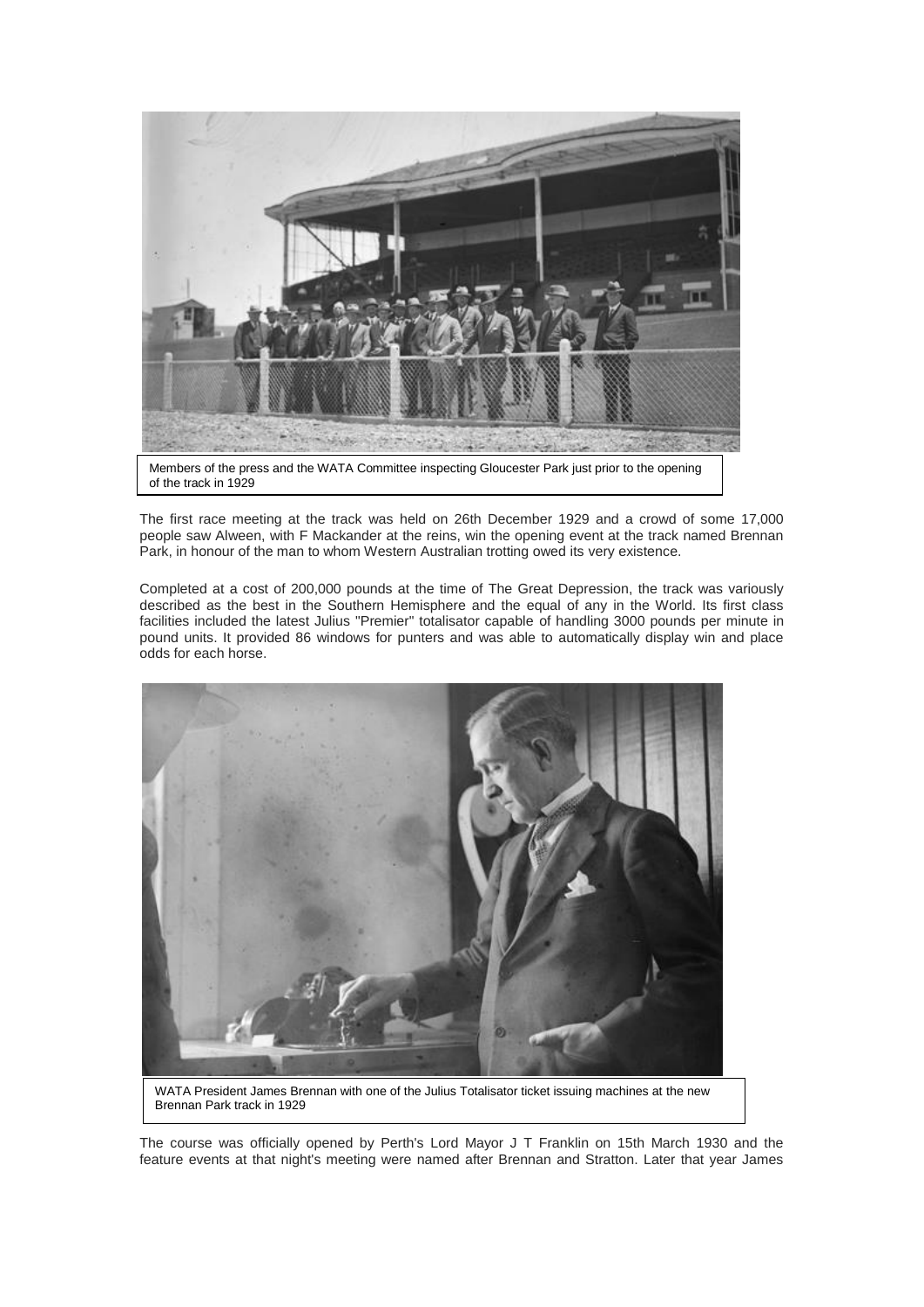

of the track in 1929

The first race meeting at the track was held on 26th December 1929 and a crowd of some 17,000 people saw Alween, with F Mackander at the reins, win the opening event at the track named Brennan Park, in honour of the man to whom Western Australian trotting owed its very existence.

Completed at a cost of 200,000 pounds at the time of The Great Depression, the track was variously described as the best in the Southern Hemisphere and the equal of any in the World. Its first class facilities included the latest Julius "Premier" totalisator capable of handling 3000 pounds per minute in pound units. It provided 86 windows for punters and was able to automatically display win and place odds for each horse.



The course was officially opened by Perth's Lord Mayor J T Franklin on 15th March 1930 and the feature events at that night's meeting were named after Brennan and Stratton. Later that year James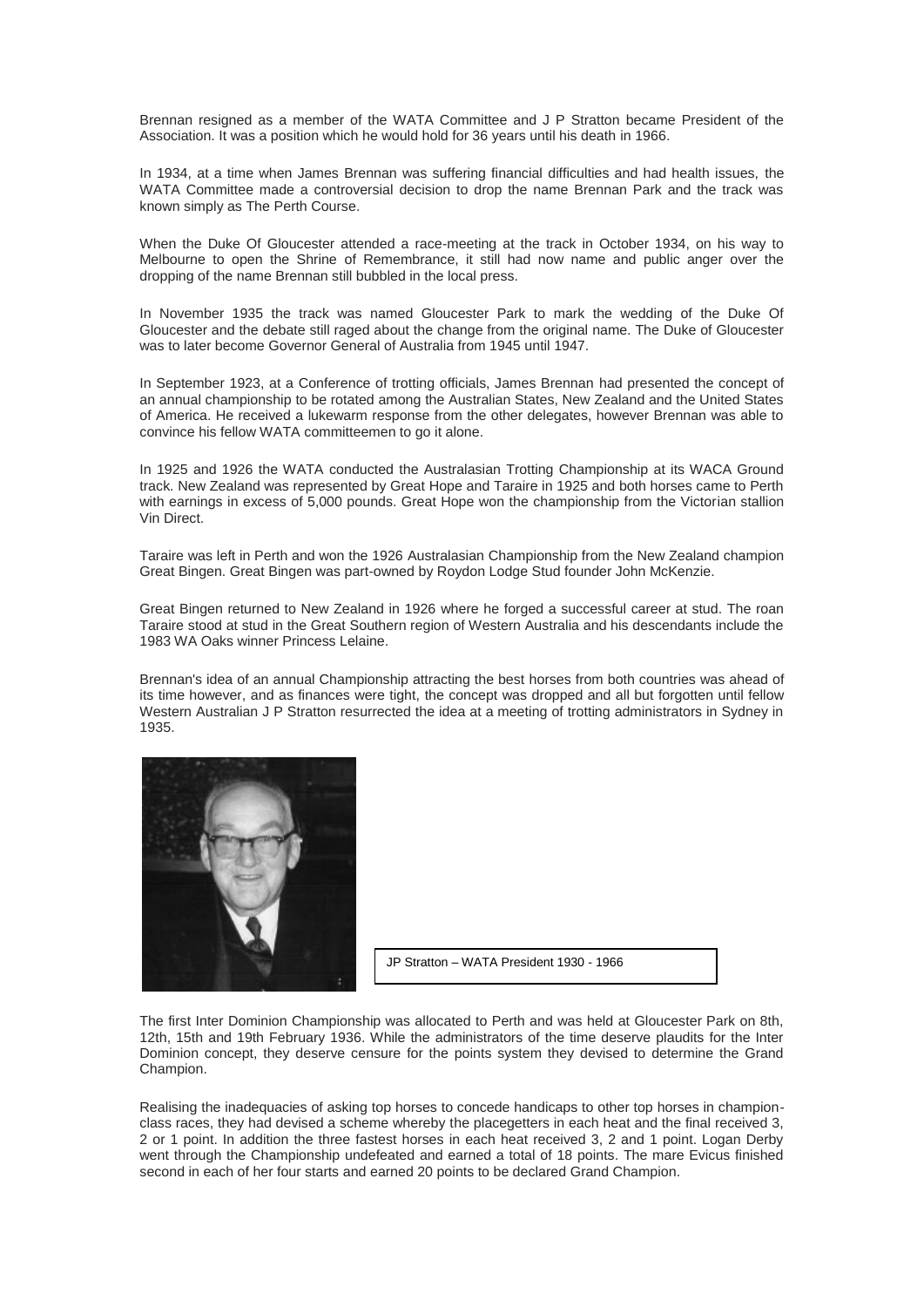Brennan resigned as a member of the WATA Committee and J P Stratton became President of the Association. It was a position which he would hold for 36 years until his death in 1966.

In 1934, at a time when James Brennan was suffering financial difficulties and had health issues, the WATA Committee made a controversial decision to drop the name Brennan Park and the track was known simply as The Perth Course.

When the Duke Of Gloucester attended a race-meeting at the track in October 1934, on his way to Melbourne to open the Shrine of Remembrance, it still had now name and public anger over the dropping of the name Brennan still bubbled in the local press.

In November 1935 the track was named Gloucester Park to mark the wedding of the Duke Of Gloucester and the debate still raged about the change from the original name. The Duke of Gloucester was to later become Governor General of Australia from 1945 until 1947.

In September 1923, at a Conference of trotting officials, James Brennan had presented the concept of an annual championship to be rotated among the Australian States, New Zealand and the United States of America. He received a lukewarm response from the other delegates, however Brennan was able to convince his fellow WATA committeemen to go it alone.

In 1925 and 1926 the WATA conducted the Australasian Trotting Championship at its WACA Ground track. New Zealand was represented by Great Hope and Taraire in 1925 and both horses came to Perth with earnings in excess of 5,000 pounds. Great Hope won the championship from the Victorian stallion Vin Direct.

Taraire was left in Perth and won the 1926 Australasian Championship from the New Zealand champion Great Bingen. Great Bingen was part-owned by Roydon Lodge Stud founder John McKenzie.

Great Bingen returned to New Zealand in 1926 where he forged a successful career at stud. The roan Taraire stood at stud in the Great Southern region of Western Australia and his descendants include the 1983 WA Oaks winner Princess Lelaine.

Brennan's idea of an annual Championship attracting the best horses from both countries was ahead of its time however, and as finances were tight, the concept was dropped and all but forgotten until fellow Western Australian J P Stratton resurrected the idea at a meeting of trotting administrators in Sydney in 1935.



The first Inter Dominion Championship was allocated to Perth and was held at Gloucester Park on 8th, 12th, 15th and 19th February 1936. While the administrators of the time deserve plaudits for the Inter Dominion concept, they deserve censure for the points system they devised to determine the Grand Champion.

Realising the inadequacies of asking top horses to concede handicaps to other top horses in championclass races, they had devised a scheme whereby the placegetters in each heat and the final received 3, 2 or 1 point. In addition the three fastest horses in each heat received 3, 2 and 1 point. Logan Derby went through the Championship undefeated and earned a total of 18 points. The mare Evicus finished second in each of her four starts and earned 20 points to be declared Grand Champion.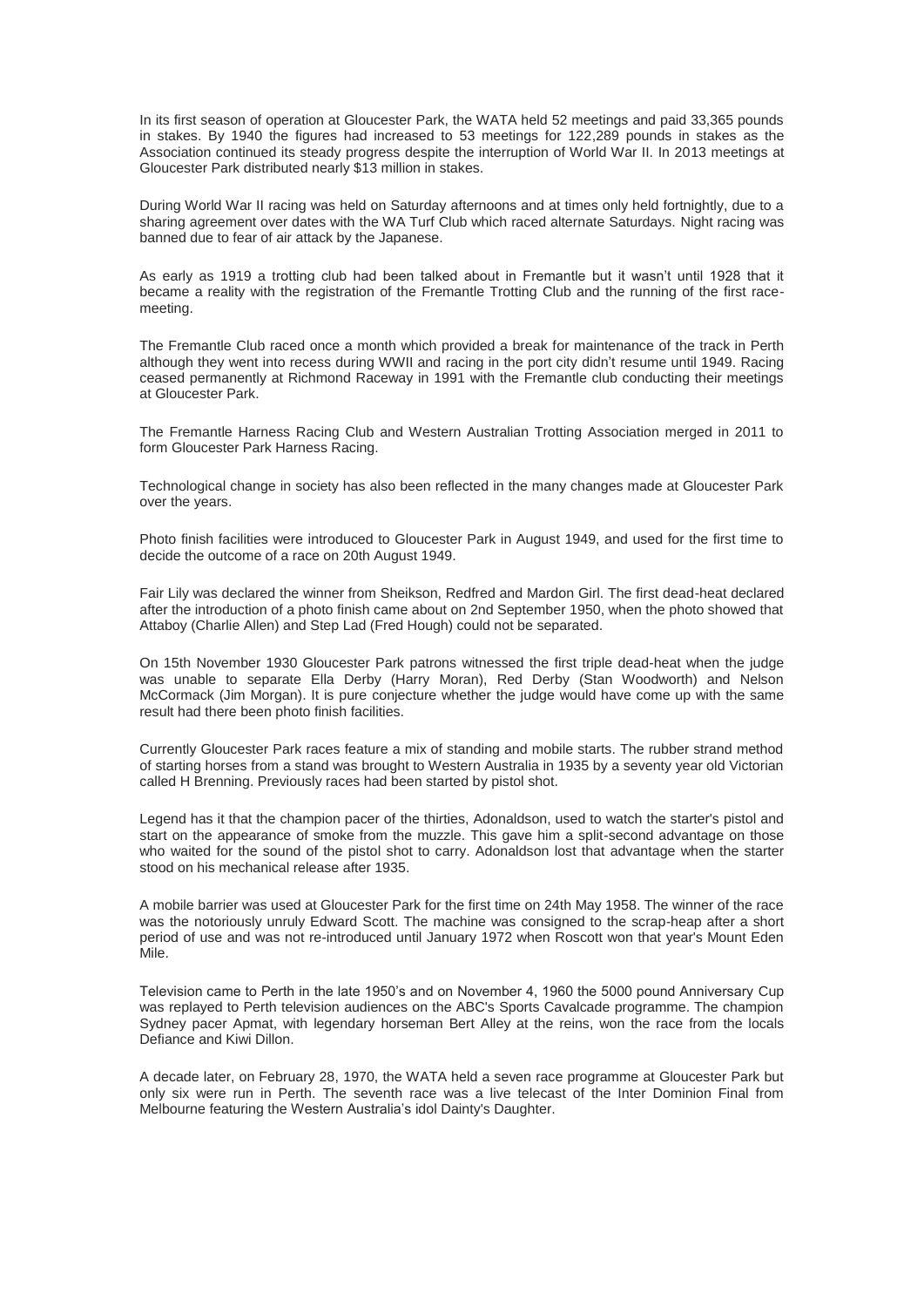In its first season of operation at Gloucester Park, the WATA held 52 meetings and paid 33,365 pounds in stakes. By 1940 the figures had increased to 53 meetings for 122,289 pounds in stakes as the Association continued its steady progress despite the interruption of World War II. In 2013 meetings at Gloucester Park distributed nearly \$13 million in stakes.

During World War II racing was held on Saturday afternoons and at times only held fortnightly, due to a sharing agreement over dates with the WA Turf Club which raced alternate Saturdays. Night racing was banned due to fear of air attack by the Japanese.

As early as 1919 a trotting club had been talked about in Fremantle but it wasn't until 1928 that it became a reality with the registration of the Fremantle Trotting Club and the running of the first racemeeting.

The Fremantle Club raced once a month which provided a break for maintenance of the track in Perth although they went into recess during WWII and racing in the port city didn't resume until 1949. Racing ceased permanently at Richmond Raceway in 1991 with the Fremantle club conducting their meetings at Gloucester Park.

The Fremantle Harness Racing Club and Western Australian Trotting Association merged in 2011 to form Gloucester Park Harness Racing.

Technological change in society has also been reflected in the many changes made at Gloucester Park over the years.

Photo finish facilities were introduced to Gloucester Park in August 1949, and used for the first time to decide the outcome of a race on 20th August 1949.

Fair Lily was declared the winner from Sheikson, Redfred and Mardon Girl. The first dead-heat declared after the introduction of a photo finish came about on 2nd September 1950, when the photo showed that Attaboy (Charlie Allen) and Step Lad (Fred Hough) could not be separated.

On 15th November 1930 Gloucester Park patrons witnessed the first triple dead-heat when the judge was unable to separate Ella Derby (Harry Moran), Red Derby (Stan Woodworth) and Nelson McCormack (Jim Morgan). It is pure conjecture whether the judge would have come up with the same result had there been photo finish facilities.

Currently Gloucester Park races feature a mix of standing and mobile starts. The rubber strand method of starting horses from a stand was brought to Western Australia in 1935 by a seventy year old Victorian called H Brenning. Previously races had been started by pistol shot.

Legend has it that the champion pacer of the thirties, Adonaldson, used to watch the starter's pistol and start on the appearance of smoke from the muzzle. This gave him a split-second advantage on those who waited for the sound of the pistol shot to carry. Adonaldson lost that advantage when the starter stood on his mechanical release after 1935.

A mobile barrier was used at Gloucester Park for the first time on 24th May 1958. The winner of the race was the notoriously unruly Edward Scott. The machine was consigned to the scrap-heap after a short period of use and was not re-introduced until January 1972 when Roscott won that year's Mount Eden Mile.

Television came to Perth in the late 1950's and on November 4, 1960 the 5000 pound Anniversary Cup was replayed to Perth television audiences on the ABC's Sports Cavalcade programme. The champion Sydney pacer Apmat, with legendary horseman Bert Alley at the reins, won the race from the locals Defiance and Kiwi Dillon.

A decade later, on February 28, 1970, the WATA held a seven race programme at Gloucester Park but only six were run in Perth. The seventh race was a live telecast of the Inter Dominion Final from Melbourne featuring the Western Australia's idol Dainty's Daughter.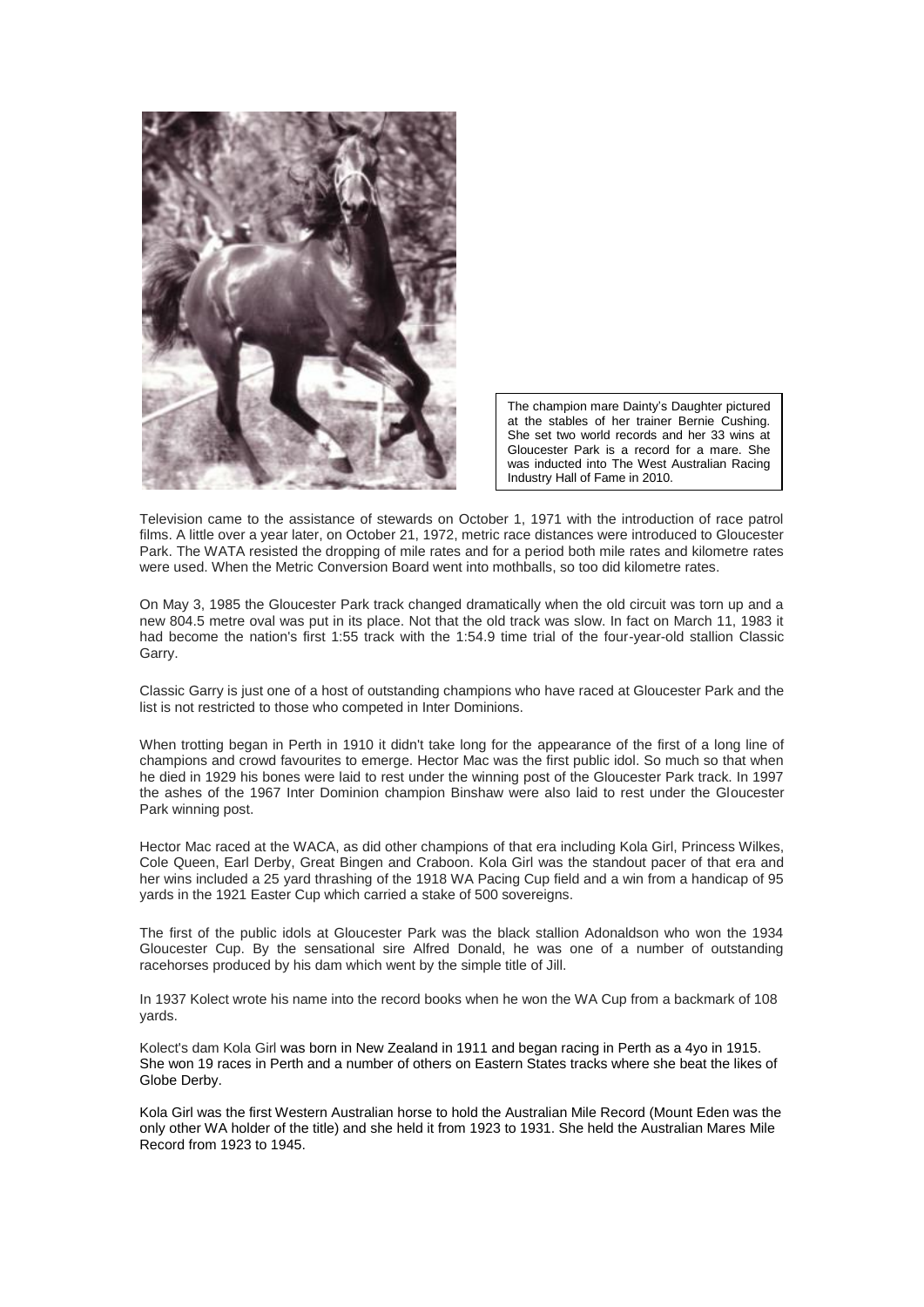

The champion mare Dainty's Daughter pictured at the stables of her trainer Bernie Cushing. She set two world records and her 33 wins at Gloucester Park is a record for a mare. She was inducted into The West Australian Racing Industry Hall of Fame in 2010.

Television came to the assistance of stewards on October 1, 1971 with the introduction of race patrol films. A little over a year later, on October 21, 1972, metric race distances were introduced to Gloucester Park. The WATA resisted the dropping of mile rates and for a period both mile rates and kilometre rates were used. When the Metric Conversion Board went into mothballs, so too did kilometre rates.

On May 3, 1985 the Gloucester Park track changed dramatically when the old circuit was torn up and a new 804.5 metre oval was put in its place. Not that the old track was slow. In fact on March 11, 1983 it had become the nation's first 1:55 track with the 1:54.9 time trial of the four-year-old stallion Classic Garry.

Classic Garry is just one of a host of outstanding champions who have raced at Gloucester Park and the list is not restricted to those who competed in Inter Dominions.

When trotting began in Perth in 1910 it didn't take long for the appearance of the first of a long line of champions and crowd favourites to emerge. Hector Mac was the first public idol. So much so that when he died in 1929 his bones were laid to rest under the winning post of the Gloucester Park track. In 1997 the ashes of the 1967 Inter Dominion champion Binshaw were also laid to rest under the Gloucester Park winning post.

Hector Mac raced at the WACA, as did other champions of that era including Kola Girl, Princess Wilkes, Cole Queen, Earl Derby, Great Bingen and Craboon. Kola Girl was the standout pacer of that era and her wins included a 25 yard thrashing of the 1918 WA Pacing Cup field and a win from a handicap of 95 yards in the 1921 Easter Cup which carried a stake of 500 sovereigns.

The first of the public idols at Gloucester Park was the black stallion Adonaldson who won the 1934 Gloucester Cup. By the sensational sire Alfred Donald, he was one of a number of outstanding racehorses produced by his dam which went by the simple title of Jill.

In 1937 Kolect wrote his name into the record books when he won the WA Cup from a backmark of 108 yards.

Kolect's dam Kola Girl was born in New Zealand in 1911 and began racing in Perth as a 4yo in 1915. She won 19 races in Perth and a number of others on Eastern States tracks where she beat the likes of Globe Derby.

Kola Girl was the first Western Australian horse to hold the Australian Mile Record (Mount Eden was the only other WA holder of the title) and she held it from 1923 to 1931. She held the Australian Mares Mile Record from 1923 to 1945.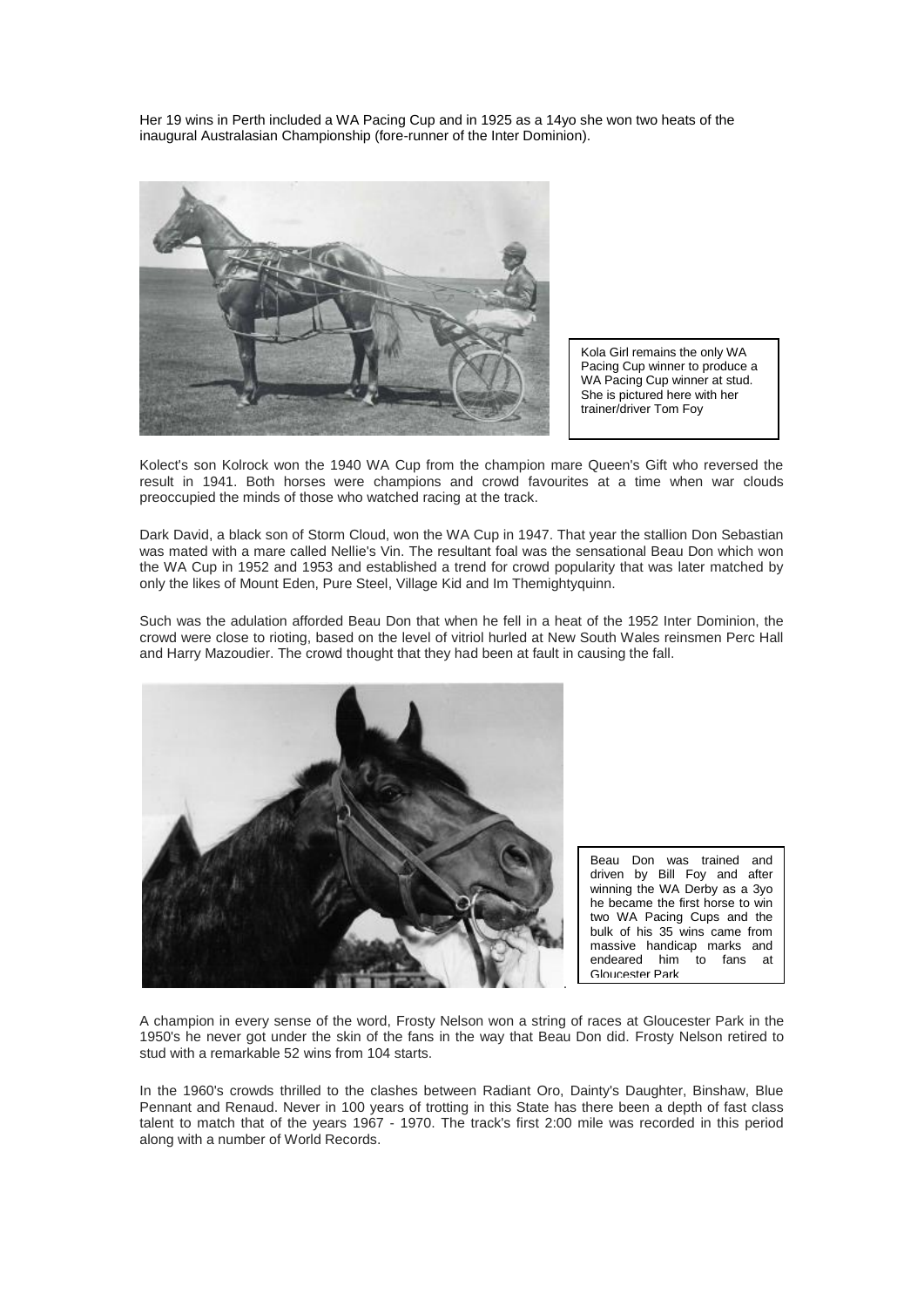Her 19 wins in Perth included a WA Pacing Cup and in 1925 as a 14yo she won two heats of the inaugural Australasian Championship (fore-runner of the Inter Dominion).



Kola Girl remains the only WA Pacing Cup winner to produce a WA Pacing Cup winner at stud. She is pictured here with her trainer/driver Tom Foy

Kolect's son Kolrock won the 1940 WA Cup from the champion mare Queen's Gift who reversed the result in 1941. Both horses were champions and crowd favourites at a time when war clouds preoccupied the minds of those who watched racing at the track.

Dark David, a black son of Storm Cloud, won the WA Cup in 1947. That year the stallion Don Sebastian was mated with a mare called Nellie's Vin. The resultant foal was the sensational Beau Don which won the WA Cup in 1952 and 1953 and established a trend for crowd popularity that was later matched by only the likes of Mount Eden, Pure Steel, Village Kid and Im Themightyquinn.

Such was the adulation afforded Beau Don that when he fell in a heat of the 1952 Inter Dominion, the crowd were close to rioting, based on the level of vitriol hurled at New South Wales reinsmen Perc Hall and Harry Mazoudier. The crowd thought that they had been at fault in causing the fall.



Beau Don was trained and driven by Bill Foy and after winning the WA Derby as a 3yo he became the first horse to win two WA Pacing Cups and the bulk of his 35 wins came from massive handicap marks and endeared him to fans at Gloucester Park

A champion in every sense of the word, Frosty Nelson won a string of races at Gloucester Park in the 1950's he never got under the skin of the fans in the way that Beau Don did. Frosty Nelson retired to stud with a remarkable 52 wins from 104 starts.

In the 1960's crowds thrilled to the clashes between Radiant Oro, Dainty's Daughter, Binshaw, Blue Pennant and Renaud. Never in 100 years of trotting in this State has there been a depth of fast class talent to match that of the years 1967 - 1970. The track's first 2:00 mile was recorded in this period along with a number of World Records.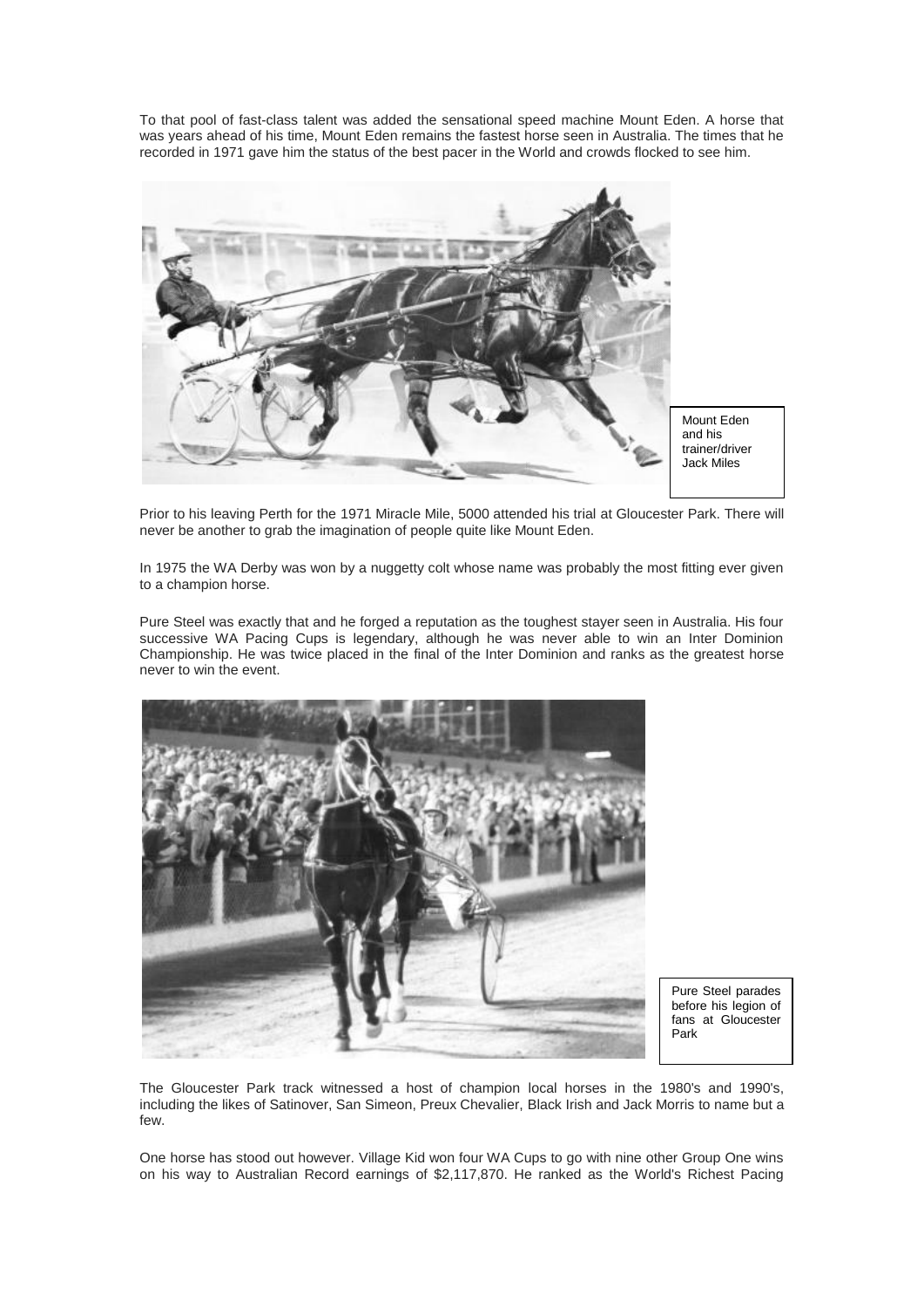To that pool of fast-class talent was added the sensational speed machine Mount Eden. A horse that was years ahead of his time, Mount Eden remains the fastest horse seen in Australia. The times that he recorded in 1971 gave him the status of the best pacer in the World and crowds flocked to see him.



Prior to his leaving Perth for the 1971 Miracle Mile, 5000 attended his trial at Gloucester Park. There will never be another to grab the imagination of people quite like Mount Eden.

In 1975 the WA Derby was won by a nuggetty colt whose name was probably the most fitting ever given to a champion horse.

Pure Steel was exactly that and he forged a reputation as the toughest stayer seen in Australia. His four successive WA Pacing Cups is legendary, although he was never able to win an Inter Dominion Championship. He was twice placed in the final of the Inter Dominion and ranks as the greatest horse never to win the event.



Pure Steel parades before his legion of fans at Gloucester Park

The Gloucester Park track witnessed a host of champion local horses in the 1980's and 1990's, including the likes of Satinover, San Simeon, Preux Chevalier, Black Irish and Jack Morris to name but a few.

One horse has stood out however. Village Kid won four WA Cups to go with nine other Group One wins on his way to Australian Record earnings of \$2,117,870. He ranked as the World's Richest Pacing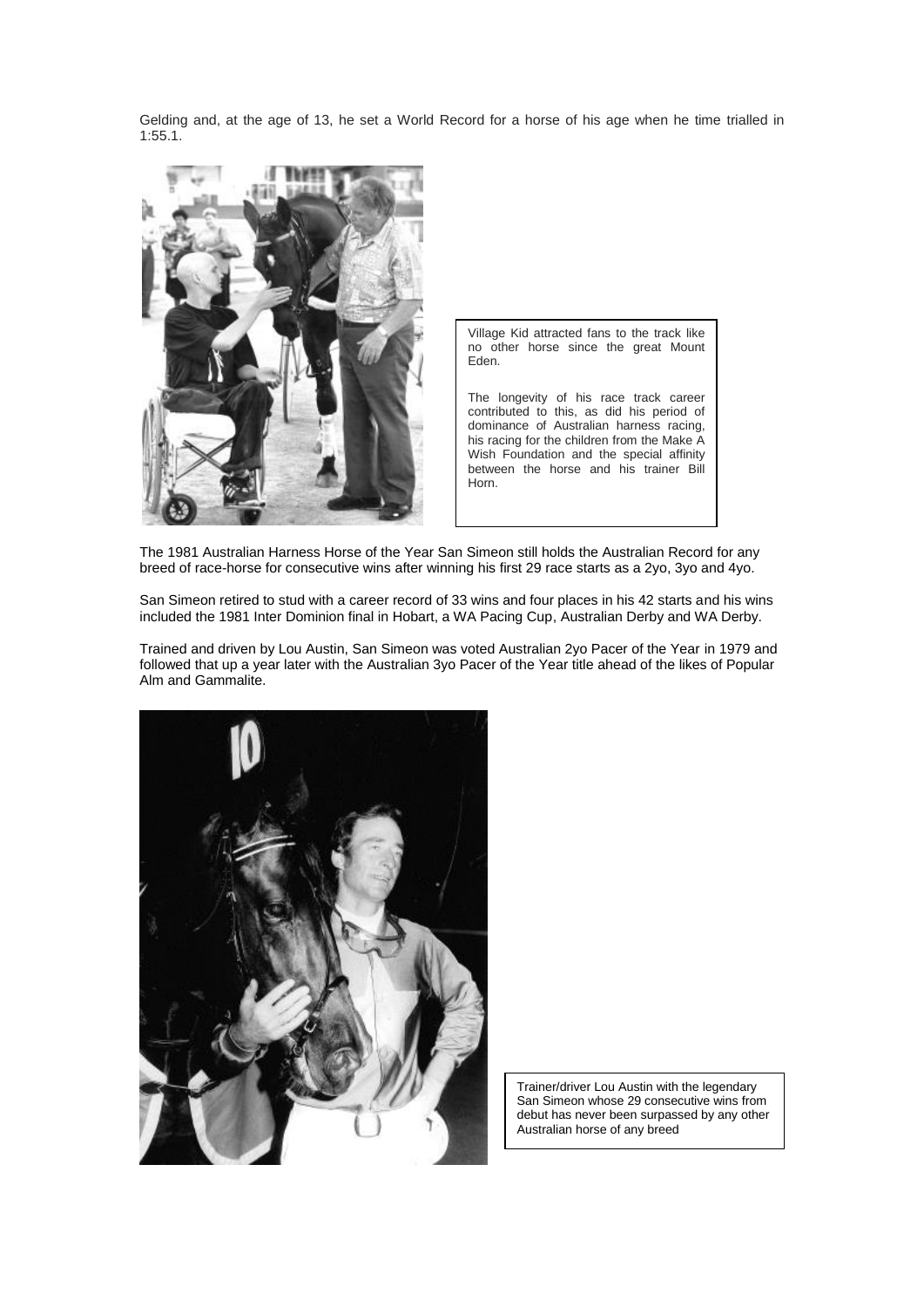Gelding and, at the age of 13, he set a World Record for a horse of his age when he time trialled in 1:55.1.



Village Kid attracted fans to the track like no other horse since the great Mount Eden.

The longevity of his race track career contributed to this, as did his period of dominance of Australian harness racing, his racing for the children from the Make A Wish Foundation and the special affinity between the horse and his trainer Bill Horn.

The 1981 Australian Harness Horse of the Year San Simeon still holds the Australian Record for any breed of race-horse for consecutive wins after winning his first 29 race starts as a 2yo, 3yo and 4yo.

San Simeon retired to stud with a career record of 33 wins and four places in his 42 starts and his wins included the 1981 Inter Dominion final in Hobart, a WA Pacing Cup, Australian Derby and WA Derby.

Trained and driven by Lou Austin, San Simeon was voted Australian 2yo Pacer of the Year in 1979 and followed that up a year later with the Australian 3yo Pacer of the Year title ahead of the likes of Popular Alm and Gammalite.



Trainer/driver Lou Austin with the legendary San Simeon whose 29 consecutive wins from debut has never been surpassed by any other Australian horse of any breed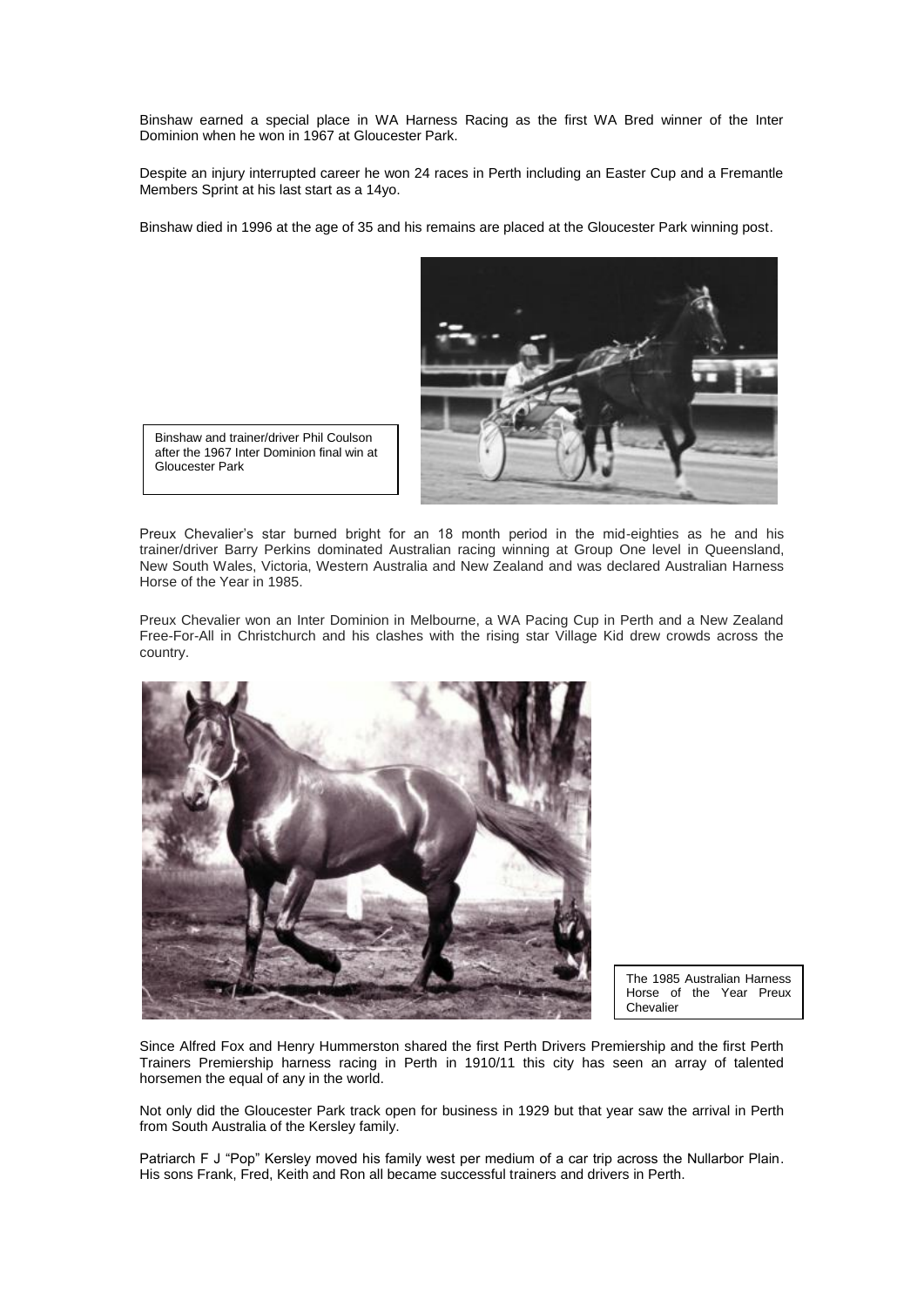Binshaw earned a special place in WA Harness Racing as the first WA Bred winner of the Inter Dominion when he won in 1967 at Gloucester Park.

Despite an injury interrupted career he won 24 races in Perth including an Easter Cup and a Fremantle Members Sprint at his last start as a 14yo.

Binshaw died in 1996 at the age of 35 and his remains are placed at the Gloucester Park winning post.



Binshaw and trainer/driver Phil Coulson after the 1967 Inter Dominion final win at Gloucester Park

Preux Chevalier's star burned bright for an 18 month period in the mid-eighties as he and his trainer/driver Barry Perkins dominated Australian racing winning at Group One level in Queensland, New South Wales, Victoria, Western Australia and New Zealand and was declared Australian Harness Horse of the Year in 1985.

Preux Chevalier won an Inter Dominion in Melbourne, a WA Pacing Cup in Perth and a New Zealand Free-For-All in Christchurch and his clashes with the rising star Village Kid drew crowds across the country.



The 1985 Australian Harness Horse of the Year Preux Chevalier

Since Alfred Fox and Henry Hummerston shared the first Perth Drivers Premiership and the first Perth Trainers Premiership harness racing in Perth in 1910/11 this city has seen an array of talented horsemen the equal of any in the world.

Not only did the Gloucester Park track open for business in 1929 but that year saw the arrival in Perth from South Australia of the Kersley family.

Patriarch F J "Pop" Kersley moved his family west per medium of a car trip across the Nullarbor Plain. His sons Frank, Fred, Keith and Ron all became successful trainers and drivers in Perth.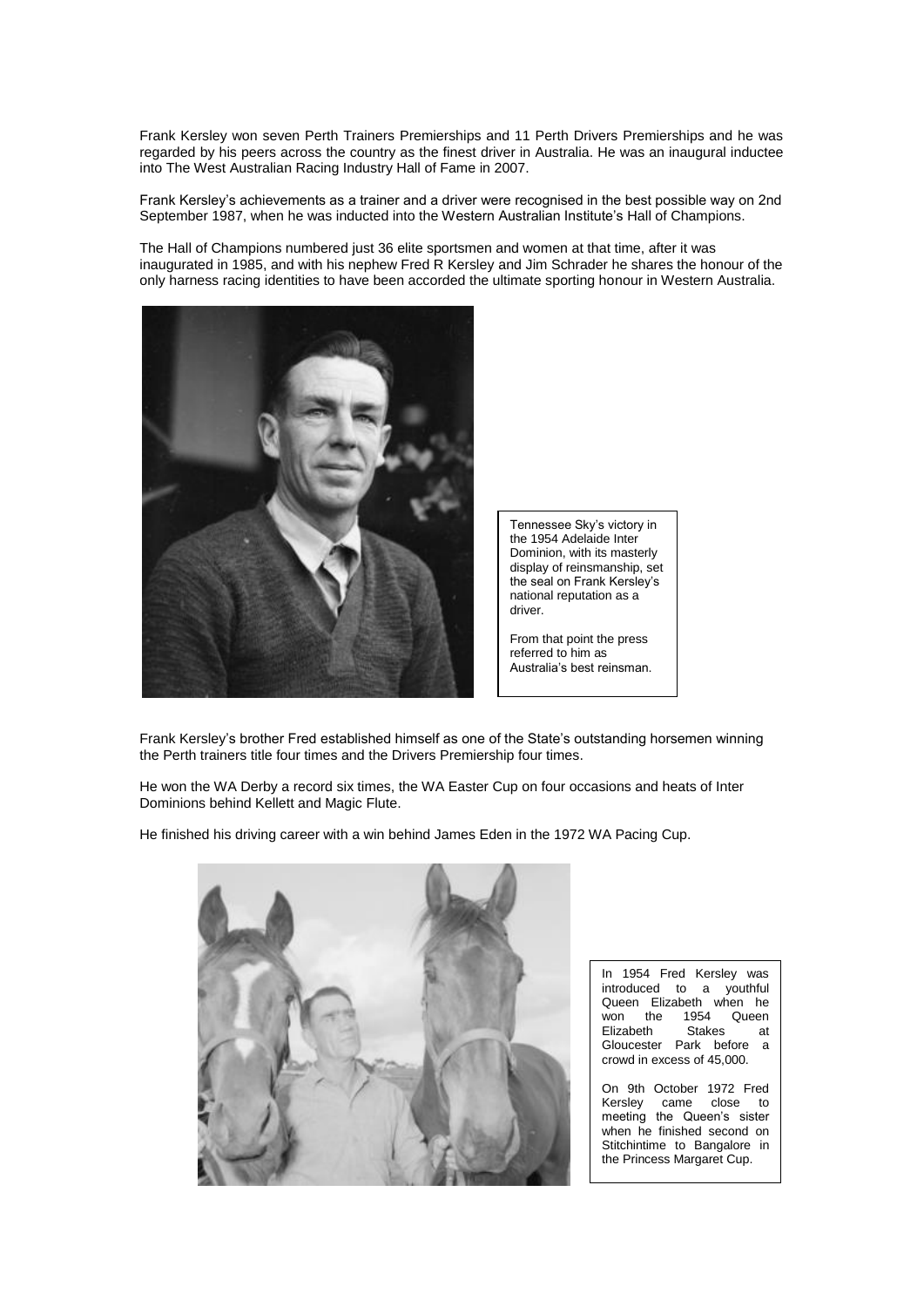Frank Kersley won seven Perth Trainers Premierships and 11 Perth Drivers Premierships and he was regarded by his peers across the country as the finest driver in Australia. He was an inaugural inductee into The West Australian Racing Industry Hall of Fame in 2007.

Frank Kersley's achievements as a trainer and a driver were recognised in the best possible way on 2nd September 1987, when he was inducted into the Western Australian Institute's Hall of Champions.

The Hall of Champions numbered just 36 elite sportsmen and women at that time, after it was inaugurated in 1985, and with his nephew Fred R Kersley and Jim Schrader he shares the honour of the only harness racing identities to have been accorded the ultimate sporting honour in Western Australia.



Tennessee Sky's victory in the 1954 Adelaide Inter Dominion, with its masterly display of reinsmanship, set the seal on Frank Kersley's national reputation as a driver.

From that point the press referred to him as Australia's best reinsman.

Frank Kersley's brother Fred established himself as one of the State's outstanding horsemen winning the Perth trainers title four times and the Drivers Premiership four times.

He won the WA Derby a record six times, the WA Easter Cup on four occasions and heats of Inter Dominions behind Kellett and Magic Flute.

He finished his driving career with a win behind James Eden in the 1972 WA Pacing Cup.



In 1954 Fred Kersley was introduced to a youthful Queen Elizabeth when he<br>won the 1954 Queen  $won$  the Elizabeth Stakes at Gloucester Park before a crowd in excess of 45,000.

On 9th October 1972 Fred Kersley came close to meeting the Queen's sister when he finished second on Stitchintime to Bangalore in the Princess Margaret Cup.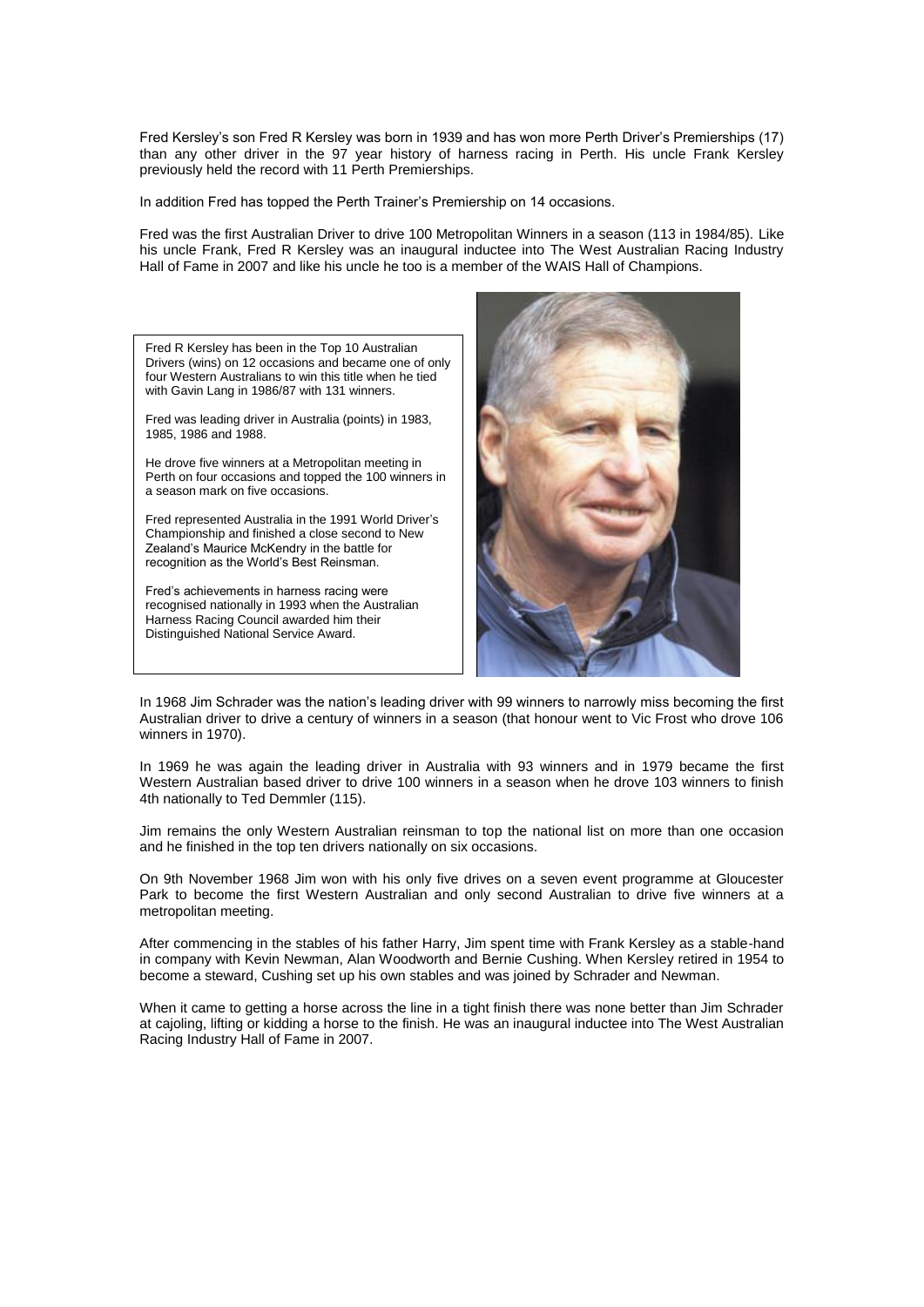Fred Kersley's son Fred R Kersley was born in 1939 and has won more Perth Driver's Premierships (17) than any other driver in the 97 year history of harness racing in Perth. His uncle Frank Kersley previously held the record with 11 Perth Premierships.

In addition Fred has topped the Perth Trainer's Premiership on 14 occasions.

Fred was the first Australian Driver to drive 100 Metropolitan Winners in a season (113 in 1984/85). Like his uncle Frank, Fred R Kersley was an inaugural inductee into The West Australian Racing Industry Hall of Fame in 2007 and like his uncle he too is a member of the WAIS Hall of Champions.

Fred R Kersley has been in the Top 10 Australian Drivers (wins) on 12 occasions and became one of only four Western Australians to win this title when he tied with Gavin Lang in 1986/87 with 131 winners.

Fred was leading driver in Australia (points) in 1983, 1985, 1986 and 1988.

He drove five winners at a Metropolitan meeting in Perth on four occasions and topped the 100 winners in a season mark on five occasions.

Fred represented Australia in the 1991 World Driver's Championship and finished a close second to New Zealand's Maurice McKendry in the battle for recognition as the World's Best Reinsman.

Fred's achievements in harness racing were recognised nationally in 1993 when the Australian Harness Racing Council awarded him their Distinguished National Service Award.



In 1968 Jim Schrader was the nation's leading driver with 99 winners to narrowly miss becoming the first Australian driver to drive a century of winners in a season (that honour went to Vic Frost who drove 106 winners in 1970).

In 1969 he was again the leading driver in Australia with 93 winners and in 1979 became the first Western Australian based driver to drive 100 winners in a season when he drove 103 winners to finish 4th nationally to Ted Demmler (115).

Jim remains the only Western Australian reinsman to top the national list on more than one occasion and he finished in the top ten drivers nationally on six occasions.

On 9th November 1968 Jim won with his only five drives on a seven event programme at Gloucester Park to become the first Western Australian and only second Australian to drive five winners at a metropolitan meeting.

After commencing in the stables of his father Harry, Jim spent time with Frank Kersley as a stable-hand in company with Kevin Newman, Alan Woodworth and Bernie Cushing. When Kersley retired in 1954 to become a steward, Cushing set up his own stables and was joined by Schrader and Newman.

When it came to getting a horse across the line in a tight finish there was none better than Jim Schrader at cajoling, lifting or kidding a horse to the finish. He was an inaugural inductee into The West Australian Racing Industry Hall of Fame in 2007.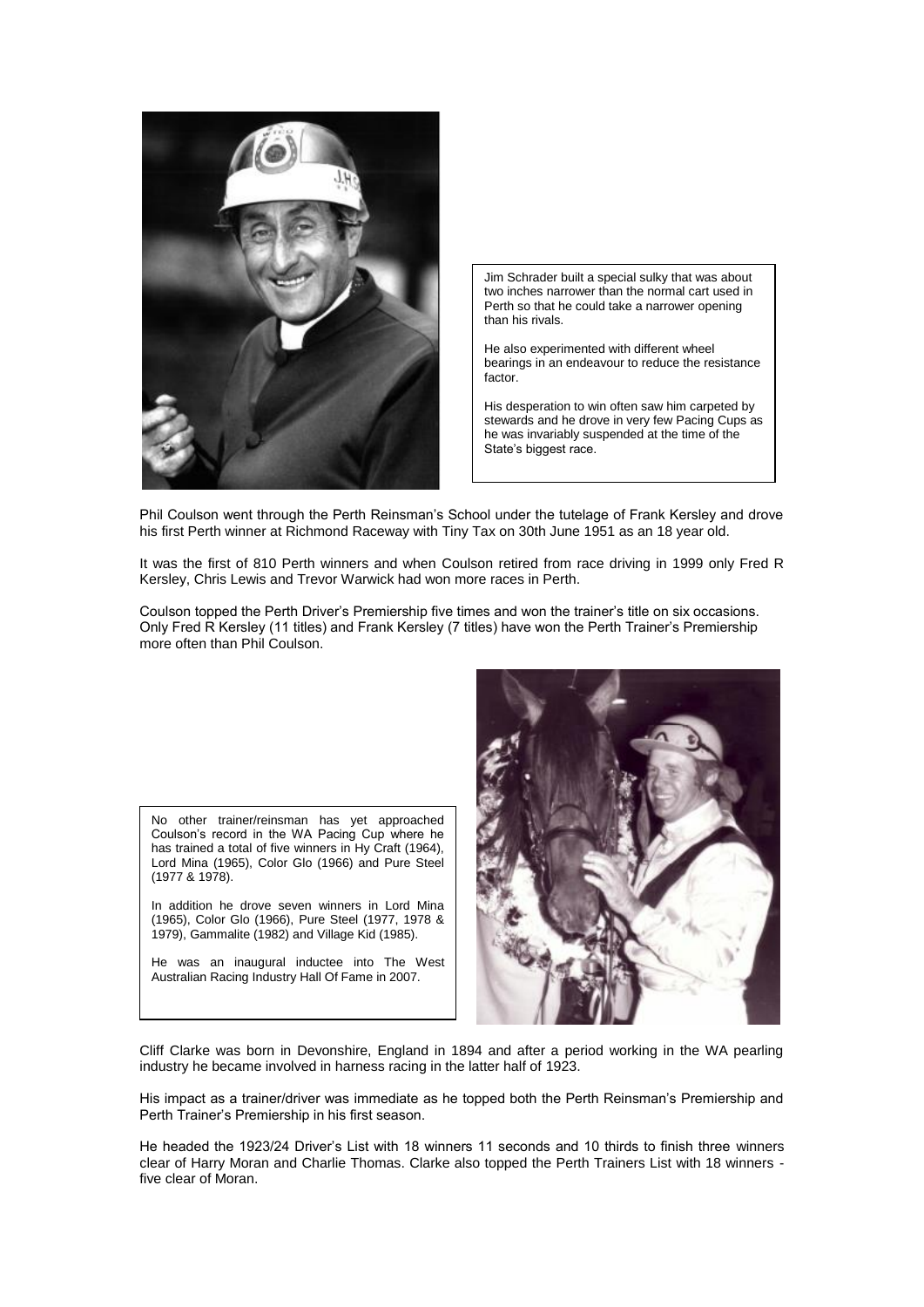

Jim Schrader built a special sulky that was about two inches narrower than the normal cart used in Perth so that he could take a narrower opening than his rivals.

He also experimented with different wheel bearings in an endeavour to reduce the resistance factor.

His desperation to win often saw him carpeted by stewards and he drove in very few Pacing Cups as he was invariably suspended at the time of the State's biggest race.

Phil Coulson went through the Perth Reinsman's School under the tutelage of Frank Kersley and drove his first Perth winner at Richmond Raceway with Tiny Tax on 30th June 1951 as an 18 year old.

It was the first of 810 Perth winners and when Coulson retired from race driving in 1999 only Fred R Kersley, Chris Lewis and Trevor Warwick had won more races in Perth.

Coulson topped the Perth Driver's Premiership five times and won the trainer's title on six occasions. Only Fred R Kersley (11 titles) and Frank Kersley (7 titles) have won the Perth Trainer's Premiership more often than Phil Coulson.

No other trainer/reinsman has yet approached Coulson's record in the WA Pacing Cup where he has trained a total of five winners in Hy Craft (1964), Lord Mina (1965), Color Glo (1966) and Pure Steel (1977 & 1978).

In addition he drove seven winners in Lord Mina (1965), Color Glo (1966), Pure Steel (1977, 1978 & 1979), Gammalite (1982) and Village Kid (1985).

He was an inaugural inductee into The West Australian Racing Industry Hall Of Fame in 2007.



Cliff Clarke was born in Devonshire, England in 1894 and after a period working in the WA pearling industry he became involved in harness racing in the latter half of 1923.

His impact as a trainer/driver was immediate as he topped both the Perth Reinsman's Premiership and Perth Trainer's Premiership in his first season.

He headed the 1923/24 Driver's List with 18 winners 11 seconds and 10 thirds to finish three winners clear of Harry Moran and Charlie Thomas. Clarke also topped the Perth Trainers List with 18 winners five clear of Moran.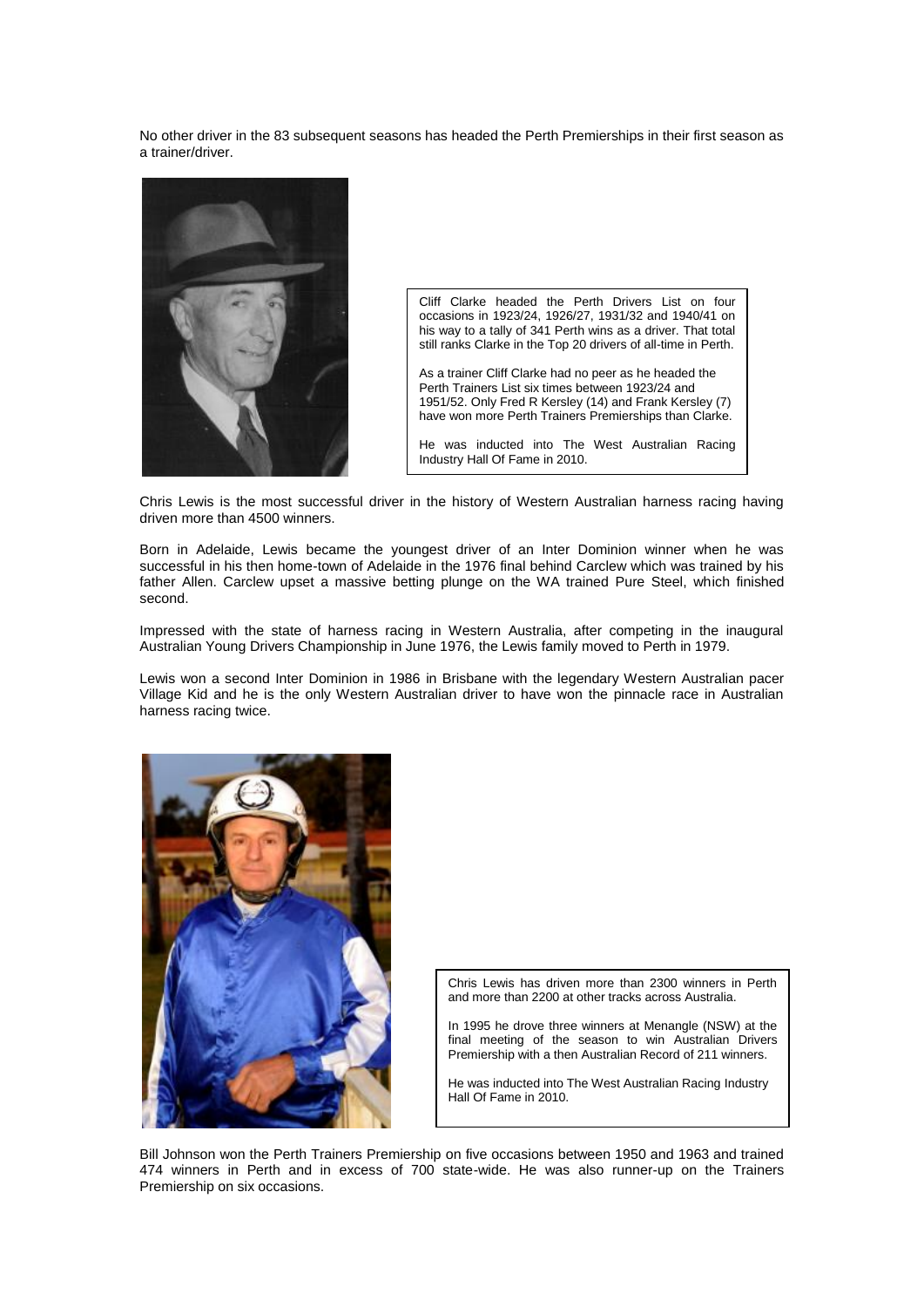No other driver in the 83 subsequent seasons has headed the Perth Premierships in their first season as a trainer/driver.



Cliff Clarke headed the Perth Drivers List on four occasions in 1923/24, 1926/27, 1931/32 and 1940/41 on his way to a tally of 341 Perth wins as a driver. That total still ranks Clarke in the Top 20 drivers of all-time in Perth.

As a trainer Cliff Clarke had no peer as he headed the Perth Trainers List six times between 1923/24 and 1951/52. Only Fred R Kersley (14) and Frank Kersley (7) have won more Perth Trainers Premierships than Clarke.

He was inducted into The West Australian Racing Industry Hall Of Fame in 2010.

Chris Lewis is the most successful driver in the history of Western Australian harness racing having driven more than 4500 winners.

Born in Adelaide, Lewis became the youngest driver of an Inter Dominion winner when he was successful in his then home-town of Adelaide in the 1976 final behind Carclew which was trained by his father Allen. Carclew upset a massive betting plunge on the WA trained Pure Steel, which finished second.

Impressed with the state of harness racing in Western Australia, after competing in the inaugural Australian Young Drivers Championship in June 1976, the Lewis family moved to Perth in 1979.

Lewis won a second Inter Dominion in 1986 in Brisbane with the legendary Western Australian pacer Village Kid and he is the only Western Australian driver to have won the pinnacle race in Australian harness racing twice.



Chris Lewis has driven more than 2300 winners in Perth and more than 2200 at other tracks across Australia.

In 1995 he drove three winners at Menangle (NSW) at the final meeting of the season to win Australian Drivers Premiership with a then Australian Record of 211 winners.

He was inducted into The West Australian Racing Industry Hall Of Fame in 2010.

Bill Johnson won the Perth Trainers Premiership on five occasions between 1950 and 1963 and trained 474 winners in Perth and in excess of 700 state-wide. He was also runner-up on the Trainers Premiership on six occasions.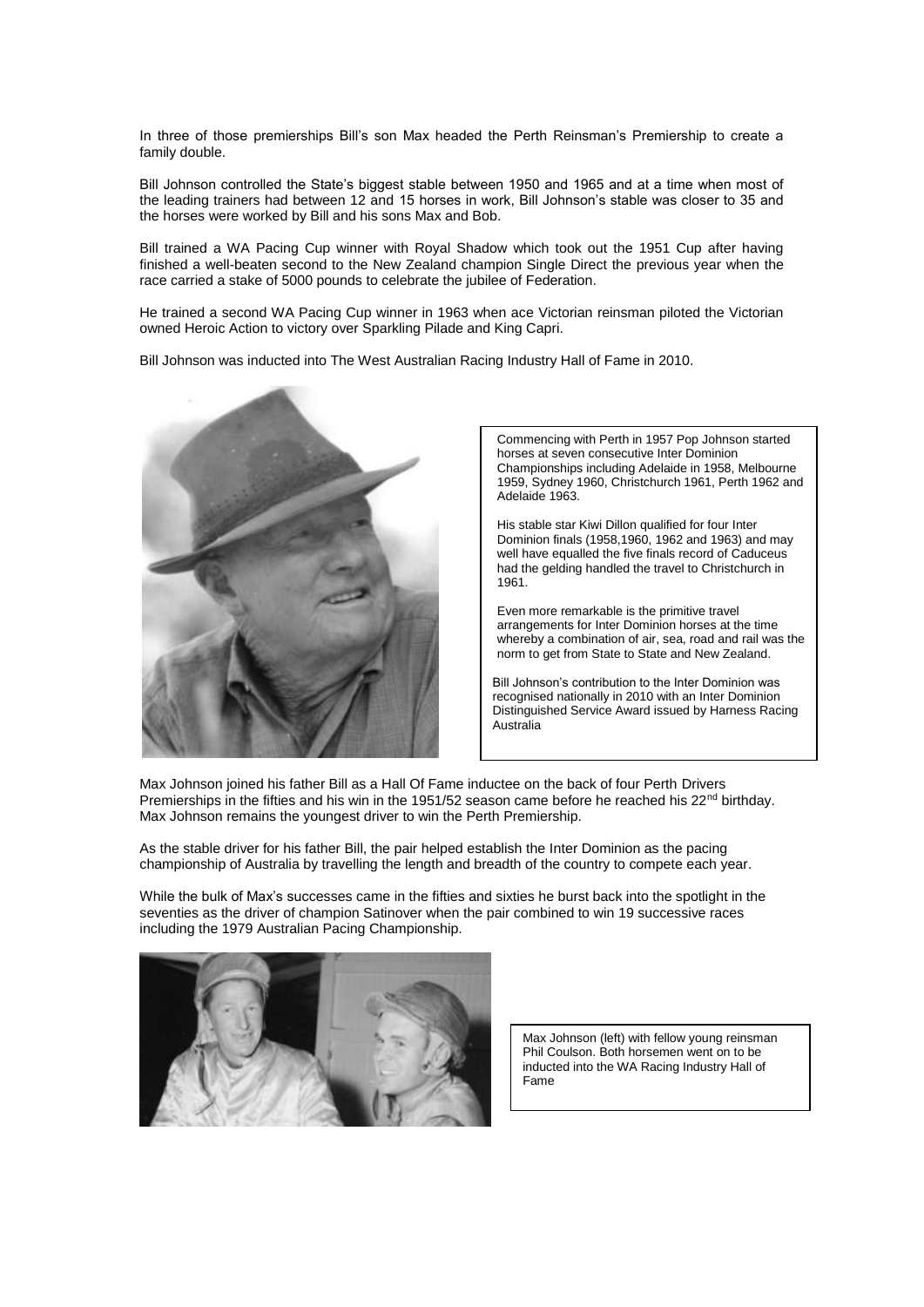In three of those premierships Bill's son Max headed the Perth Reinsman's Premiership to create a family double.

Bill Johnson controlled the State's biggest stable between 1950 and 1965 and at a time when most of the leading trainers had between 12 and 15 horses in work, Bill Johnson's stable was closer to 35 and the horses were worked by Bill and his sons Max and Bob.

Bill trained a WA Pacing Cup winner with Royal Shadow which took out the 1951 Cup after having finished a well-beaten second to the New Zealand champion Single Direct the previous year when the race carried a stake of 5000 pounds to celebrate the jubilee of Federation.

He trained a second WA Pacing Cup winner in 1963 when ace Victorian reinsman piloted the Victorian owned Heroic Action to victory over Sparkling Pilade and King Capri.

Bill Johnson was inducted into The West Australian Racing Industry Hall of Fame in 2010.



Commencing with Perth in 1957 Pop Johnson started horses at seven consecutive Inter Dominion Championships including Adelaide in 1958, Melbourne 1959, Sydney 1960, Christchurch 1961, Perth 1962 and Adelaide 1963.

His stable star Kiwi Dillon qualified for four Inter Dominion finals (1958,1960, 1962 and 1963) and may well have equalled the five finals record of Caduceus had the gelding handled the travel to Christchurch in 1961.

Even more remarkable is the primitive travel arrangements for Inter Dominion horses at the time whereby a combination of air, sea, road and rail was the norm to get from State to State and New Zealand.

Bill Johnson's contribution to the Inter Dominion was recognised nationally in 2010 with an Inter Dominion Distinguished Service Award issued by Harness Racing Australia

Max Johnson joined his father Bill as a Hall Of Fame inductee on the back of four Perth Drivers Premierships in the fifties and his win in the 1951/52 season came before he reached his  $22<sup>nd</sup>$  birthday. Max Johnson remains the youngest driver to win the Perth Premiership.

As the stable driver for his father Bill, the pair helped establish the Inter Dominion as the pacing championship of Australia by travelling the length and breadth of the country to compete each year.

While the bulk of Max's successes came in the fifties and sixties he burst back into the spotlight in the seventies as the driver of champion Satinover when the pair combined to win 19 successive races including the 1979 Australian Pacing Championship.



Max Johnson (left) with fellow young reinsman Phil Coulson. Both horsemen went on to be inducted into the WA Racing Industry Hall of Fame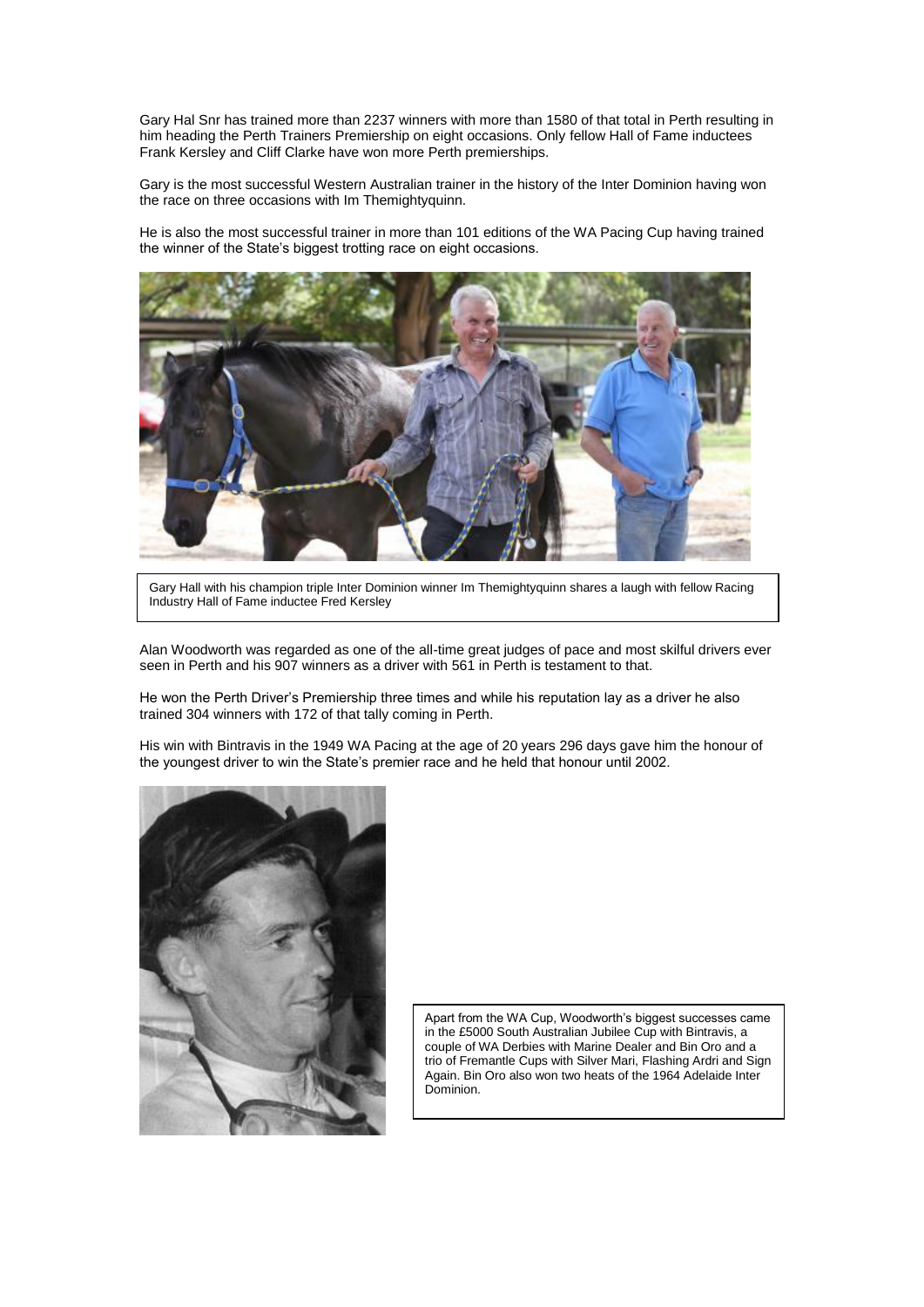Gary Hal Snr has trained more than 2237 winners with more than 1580 of that total in Perth resulting in him heading the Perth Trainers Premiership on eight occasions. Only fellow Hall of Fame inductees Frank Kersley and Cliff Clarke have won more Perth premierships.

Gary is the most successful Western Australian trainer in the history of the Inter Dominion having won the race on three occasions with Im Themightyquinn.

He is also the most successful trainer in more than 101 editions of the WA Pacing Cup having trained the winner of the State's biggest trotting race on eight occasions.



Gary Hall with his champion triple Inter Dominion winner Im Themightyquinn shares a laugh with fellow Racing Industry Hall of Fame inductee Fred Kersley

Alan Woodworth was regarded as one of the all-time great judges of pace and most skilful drivers ever seen in Perth and his 907 winners as a driver with 561 in Perth is testament to that.

He won the Perth Driver's Premiership three times and while his reputation lay as a driver he also trained 304 winners with 172 of that tally coming in Perth.

His win with Bintravis in the 1949 WA Pacing at the age of 20 years 296 days gave him the honour of the youngest driver to win the State's premier race and he held that honour until 2002.



Apart from the WA Cup, Woodworth's biggest successes came in the £5000 South Australian Jubilee Cup with Bintravis, a couple of WA Derbies with Marine Dealer and Bin Oro and a trio of Fremantle Cups with Silver Mari, Flashing Ardri and Sign Again. Bin Oro also won two heats of the 1964 Adelaide Inter Dominion.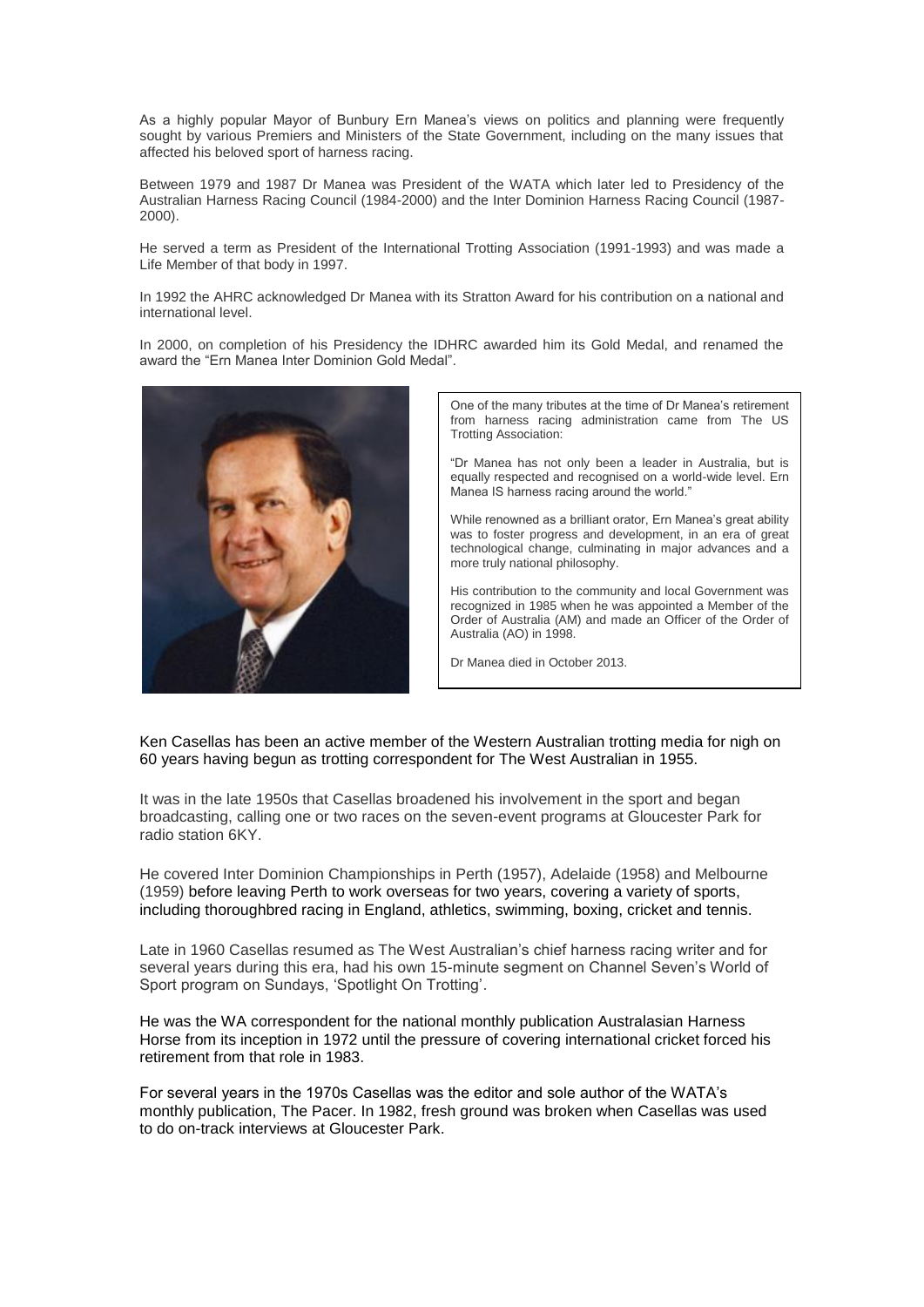As a highly popular Mayor of Bunbury Ern Manea's views on politics and planning were frequently sought by various Premiers and Ministers of the State Government, including on the many issues that affected his beloved sport of harness racing.

Between 1979 and 1987 Dr Manea was President of the WATA which later led to Presidency of the Australian Harness Racing Council (1984-2000) and the Inter Dominion Harness Racing Council (1987- 2000).

He served a term as President of the International Trotting Association (1991-1993) and was made a Life Member of that body in 1997.

In 1992 the AHRC acknowledged Dr Manea with its Stratton Award for his contribution on a national and international level.

In 2000, on completion of his Presidency the IDHRC awarded him its Gold Medal, and renamed the award the "Ern Manea Inter Dominion Gold Medal".



One of the many tributes at the time of Dr Manea's retirement from harness racing administration came from The US Trotting Association:

"Dr Manea has not only been a leader in Australia, but is equally respected and recognised on a world-wide level. Ern Manea IS harness racing around the world."

While renowned as a brilliant orator, Ern Manea's great ability was to foster progress and development, in an era of great technological change, culminating in major advances and a more truly national philosophy.

His contribution to the community and local Government was recognized in 1985 when he was appointed a Member of the Order of Australia (AM) and made an Officer of the Order of Australia (AO) in 1998.

Dr Manea died in October 2013.

Ken Casellas has been an active member of the Western Australian trotting media for nigh on 60 years having begun as trotting correspondent for The West Australian in 1955.

It was in the late 1950s that Casellas broadened his involvement in the sport and began broadcasting, calling one or two races on the seven-event programs at Gloucester Park for radio station 6KY.

He covered Inter Dominion Championships in Perth (1957), Adelaide (1958) and Melbourne (1959) before leaving Perth to work overseas for two years, covering a variety of sports, including thoroughbred racing in England, athletics, swimming, boxing, cricket and tennis.

Late in 1960 Casellas resumed as The West Australian's chief harness racing writer and for several years during this era, had his own 15-minute segment on Channel Seven's World of Sport program on Sundays, 'Spotlight On Trotting'.

He was the WA correspondent for the national monthly publication Australasian Harness Horse from its inception in 1972 until the pressure of covering international cricket forced his retirement from that role in 1983.

For several years in the 1970s Casellas was the editor and sole author of the WATA's monthly publication, The Pacer. In 1982, fresh ground was broken when Casellas was used to do on-track interviews at Gloucester Park.